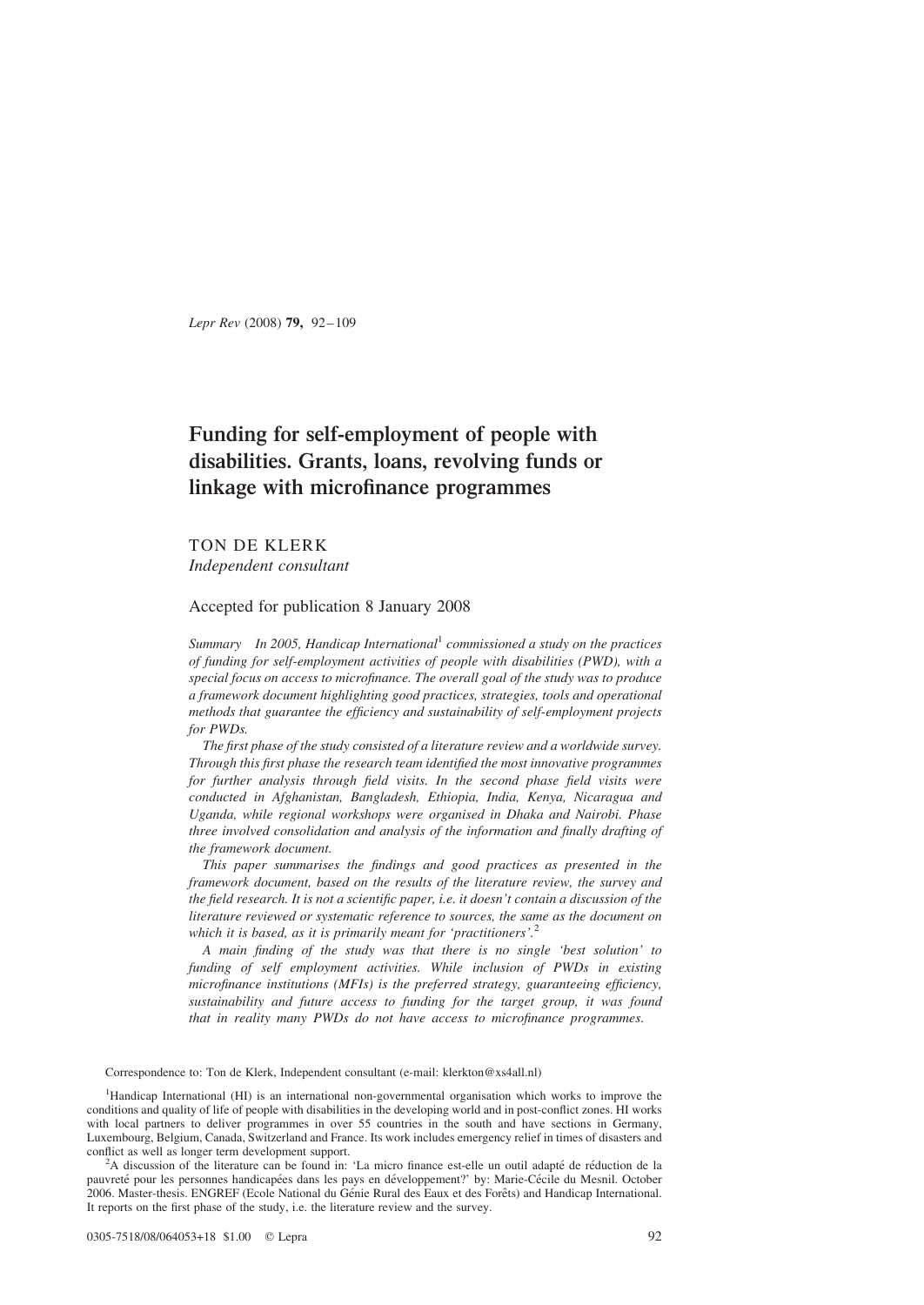Lepr Rev (2008) 79, 92–109

# Funding for self-employment of people with disabilities. Grants, loans, revolving funds or linkage with microfinance programmes

TON DE KLERK Independent consultant

Accepted for publication 8 January 2008

Summary In 2005, Handicap International<sup>1</sup> commissioned a study on the practices of funding for self-employment activities of people with disabilities (PWD), with a special focus on access to microfinance. The overall goal of the study was to produce a framework document highlighting good practices, strategies, tools and operational methods that guarantee the efficiency and sustainability of self-employment projects for PWDs.

The first phase of the study consisted of a literature review and a worldwide survey. Through this first phase the research team identified the most innovative programmes for further analysis through field visits. In the second phase field visits were conducted in Afghanistan, Bangladesh, Ethiopia, India, Kenya, Nicaragua and Uganda, while regional workshops were organised in Dhaka and Nairobi. Phase three involved consolidation and analysis of the information and finally drafting of the framework document.

This paper summarises the findings and good practices as presented in the framework document, based on the results of the literature review, the survey and the field research. It is not a scientific paper, i.e. it doesn't contain a discussion of the literature reviewed or systematic reference to sources, the same as the document on which it is based, as it is primarily meant for 'practitioners'.<sup>2</sup>

A main finding of the study was that there is no single 'best solution' to funding of self employment activities. While inclusion of PWDs in existing microfinance institutions (MFIs) is the preferred strategy, guaranteeing efficiency, sustainability and future access to funding for the target group, it was found that in reality many PWDs do not have access to microfinance programmes.

Correspondence to: Ton de Klerk, Independent consultant (e-mail: klerkton@xs4all.nl)

<sup>1</sup>Handicap International (HI) is an international non-governmental organisation which works to improve the conditions and quality of life of people with disabilities in the developing world and in post-conflict zones. HI works with local partners to deliver programmes in over 55 countries in the south and have sections in Germany, Luxembourg, Belgium, Canada, Switzerland and France. Its work includes emergency relief in times of disasters and conflict as well as longer term development support.

<sup>2</sup>A discussion of the literature can be found in: 'La micro finance est-elle un outil adapté de réduction de la pauvreté pour les personnes handicapées dans les pays en développement?' by: Marie-Cécile du Mesnil. October 2006. Master-thesis. ENGREF (Ecole National du Génie Rural des Eaux et des Forêts) and Handicap International. It reports on the first phase of the study, i.e. the literature review and the survey.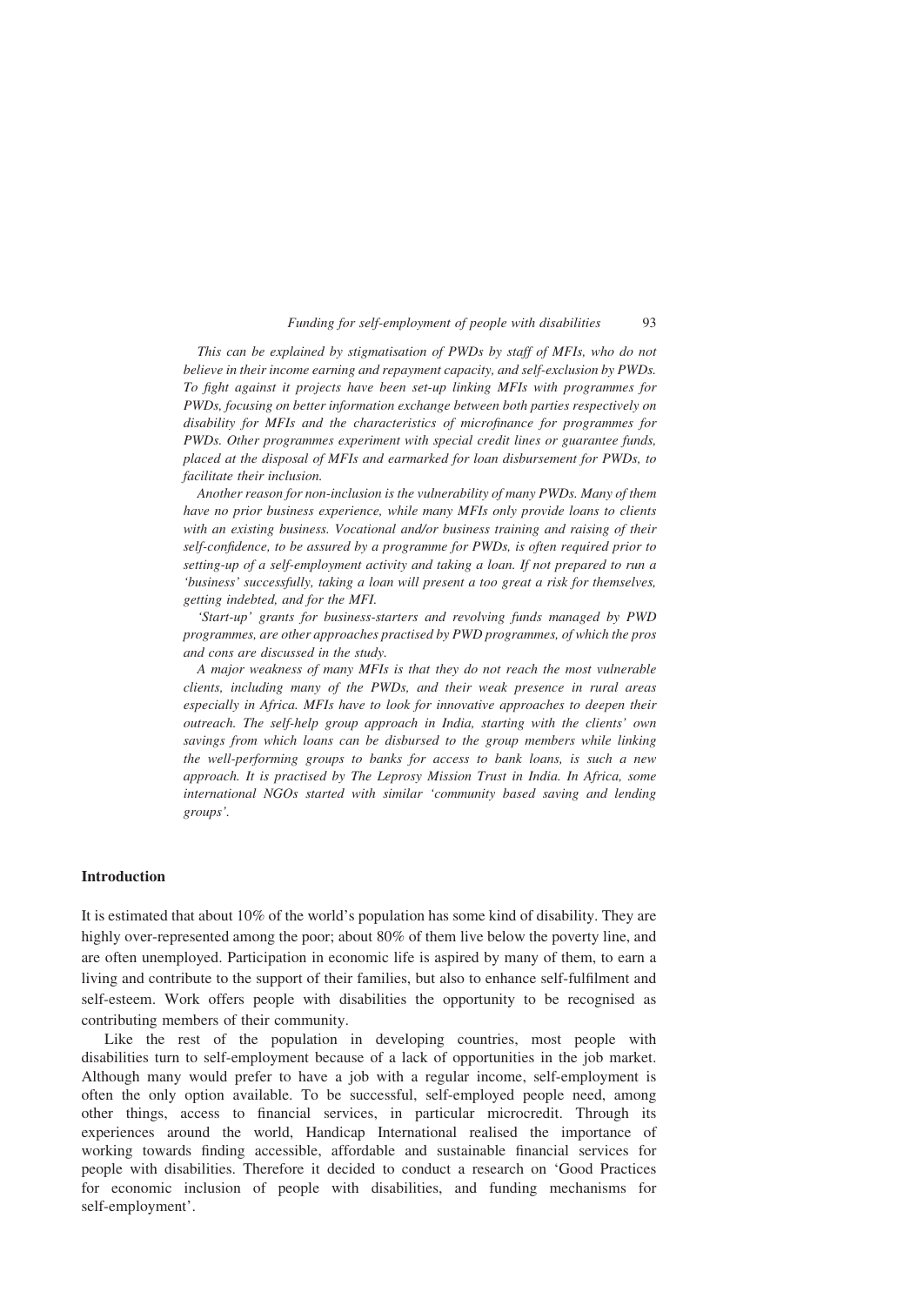This can be explained by stigmatisation of PWDs by staff of MFIs, who do not believe in their income earning and repayment capacity, and self-exclusion by PWDs. To fight against it projects have been set-up linking MFIs with programmes for PWDs, focusing on better information exchange between both parties respectively on disability for MFIs and the characteristics of microfinance for programmes for PWDs. Other programmes experiment with special credit lines or guarantee funds, placed at the disposal of MFIs and earmarked for loan disbursement for PWDs, to facilitate their inclusion.

Another reason for non-inclusion is the vulnerability of many PWDs. Many of them have no prior business experience, while many MFIs only provide loans to clients with an existing business. Vocational and/or business training and raising of their self-confidence, to be assured by a programme for PWDs, is often required prior to setting-up of a self-employment activity and taking a loan. If not prepared to run a 'business' successfully, taking a loan will present a too great a risk for themselves, getting indebted, and for the MFI.

'Start-up' grants for business-starters and revolving funds managed by PWD programmes, are other approaches practised by PWD programmes, of which the pros and cons are discussed in the study.

A major weakness of many MFIs is that they do not reach the most vulnerable clients, including many of the PWDs, and their weak presence in rural areas especially in Africa. MFIs have to look for innovative approaches to deepen their outreach. The self-help group approach in India, starting with the clients' own savings from which loans can be disbursed to the group members while linking the well-performing groups to banks for access to bank loans, is such a new approach. It is practised by The Leprosy Mission Trust in India. In Africa, some international NGOs started with similar 'community based saving and lending groups'.

# Introduction

It is estimated that about 10% of the world's population has some kind of disability. They are highly over-represented among the poor; about 80% of them live below the poverty line, and are often unemployed. Participation in economic life is aspired by many of them, to earn a living and contribute to the support of their families, but also to enhance self-fulfilment and self-esteem. Work offers people with disabilities the opportunity to be recognised as contributing members of their community.

Like the rest of the population in developing countries, most people with disabilities turn to self-employment because of a lack of opportunities in the job market. Although many would prefer to have a job with a regular income, self-employment is often the only option available. To be successful, self-employed people need, among other things, access to financial services, in particular microcredit. Through its experiences around the world, Handicap International realised the importance of working towards finding accessible, affordable and sustainable financial services for people with disabilities. Therefore it decided to conduct a research on 'Good Practices for economic inclusion of people with disabilities, and funding mechanisms for self-employment'.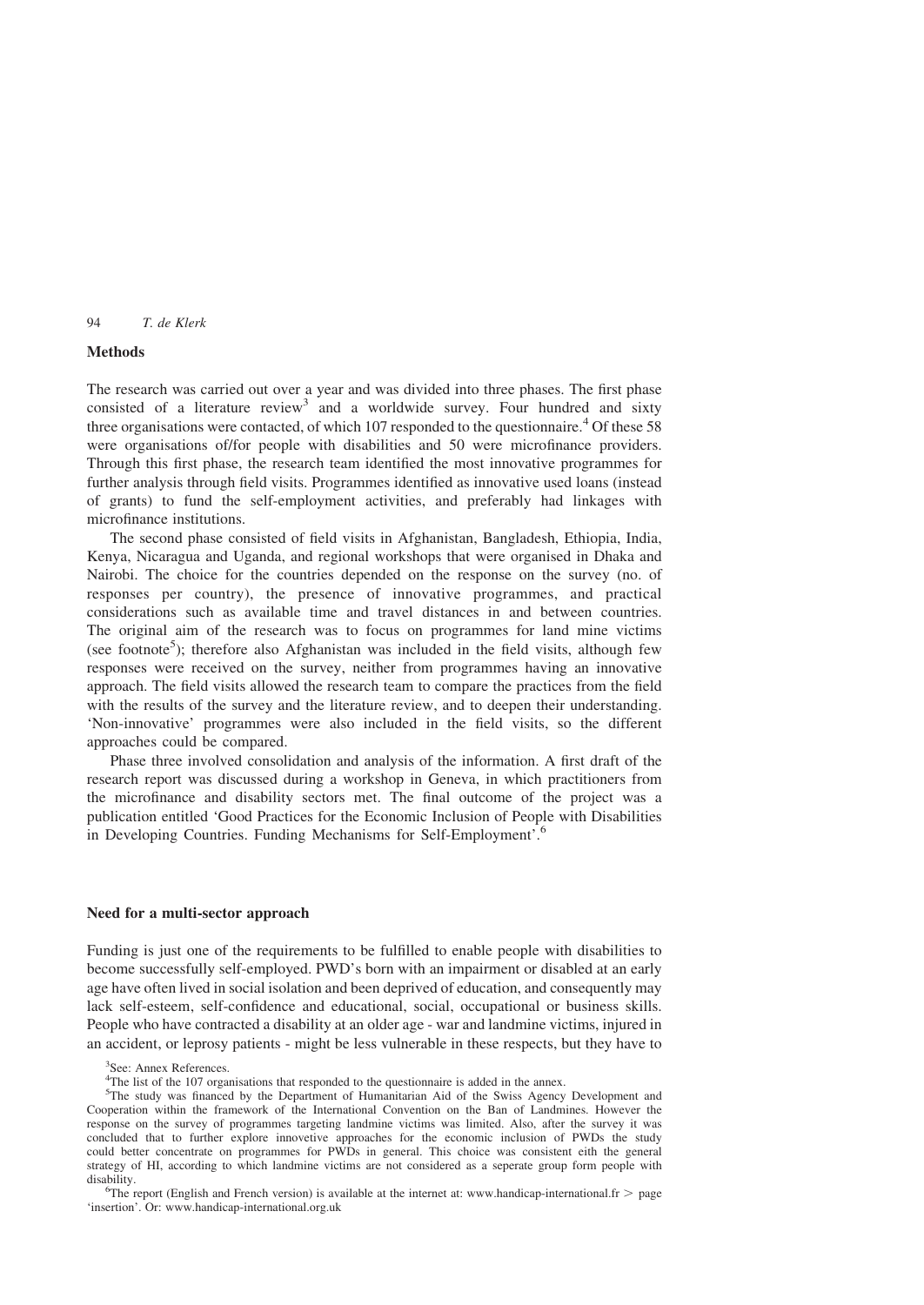# **Methods**

The research was carried out over a year and was divided into three phases. The first phase consisted of a literature review<sup>3</sup> and a worldwide survey. Four hundred and sixty three organisations were contacted, of which  $107$  responded to the questionnaire.<sup>4</sup> Of these 58 were organisations of/for people with disabilities and 50 were microfinance providers. Through this first phase, the research team identified the most innovative programmes for further analysis through field visits. Programmes identified as innovative used loans (instead of grants) to fund the self-employment activities, and preferably had linkages with microfinance institutions.

The second phase consisted of field visits in Afghanistan, Bangladesh, Ethiopia, India, Kenya, Nicaragua and Uganda, and regional workshops that were organised in Dhaka and Nairobi. The choice for the countries depended on the response on the survey (no. of responses per country), the presence of innovative programmes, and practical considerations such as available time and travel distances in and between countries. The original aim of the research was to focus on programmes for land mine victims (see footnote<sup>5</sup>); therefore also Afghanistan was included in the field visits, although few responses were received on the survey, neither from programmes having an innovative approach. The field visits allowed the research team to compare the practices from the field with the results of the survey and the literature review, and to deepen their understanding. 'Non-innovative' programmes were also included in the field visits, so the different approaches could be compared.

Phase three involved consolidation and analysis of the information. A first draft of the research report was discussed during a workshop in Geneva, in which practitioners from the microfinance and disability sectors met. The final outcome of the project was a publication entitled 'Good Practices for the Economic Inclusion of People with Disabilities in Developing Countries. Funding Mechanisms for Self-Employment'.6

# Need for a multi-sector approach

Funding is just one of the requirements to be fulfilled to enable people with disabilities to become successfully self-employed. PWD's born with an impairment or disabled at an early age have often lived in social isolation and been deprived of education, and consequently may lack self-esteem, self-confidence and educational, social, occupational or business skills. People who have contracted a disability at an older age - war and landmine victims, injured in an accident, or leprosy patients - might be less vulnerable in these respects, but they have to

<sup>&</sup>lt;sup>3</sup>See: Annex References.

<sup>&</sup>lt;sup>4</sup>The list of the 107 organisations that responded to the questionnaire is added in the annex.

<sup>&</sup>lt;sup>5</sup>The study was financed by the Department of Humanitarian Aid of the Swiss Agency Development and Cooperation within the framework of the International Convention on the Ban of Landmines. However the response on the survey of programmes targeting landmine victims was limited. Also, after the survey it was concluded that to further explore innovetive approaches for the economic inclusion of PWDs the study could better concentrate on programmes for PWDs in general. This choice was consistent eith the general strategy of HI, according to which landmine victims are not considered as a seperate group form people with disability.

<sup>&</sup>lt;sup>6</sup>The report (English and French version) is available at the internet at: www.handicap-international.fr  $>$  page 'insertion'. Or: www.handicap-international.org.uk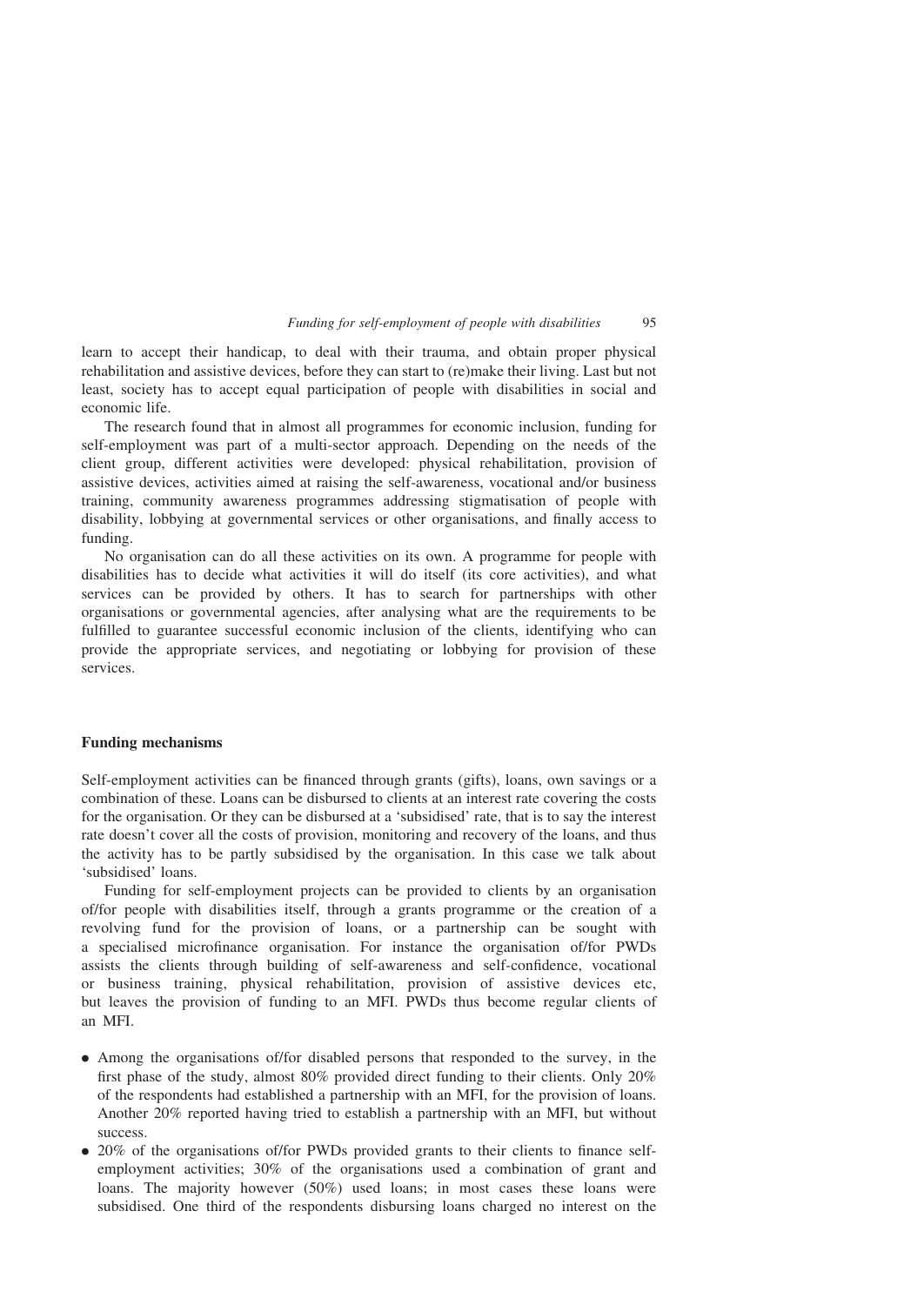learn to accept their handicap, to deal with their trauma, and obtain proper physical rehabilitation and assistive devices, before they can start to (re)make their living. Last but not least, society has to accept equal participation of people with disabilities in social and economic life.

The research found that in almost all programmes for economic inclusion, funding for self-employment was part of a multi-sector approach. Depending on the needs of the client group, different activities were developed: physical rehabilitation, provision of assistive devices, activities aimed at raising the self-awareness, vocational and/or business training, community awareness programmes addressing stigmatisation of people with disability, lobbying at governmental services or other organisations, and finally access to funding.

No organisation can do all these activities on its own. A programme for people with disabilities has to decide what activities it will do itself (its core activities), and what services can be provided by others. It has to search for partnerships with other organisations or governmental agencies, after analysing what are the requirements to be fulfilled to guarantee successful economic inclusion of the clients, identifying who can provide the appropriate services, and negotiating or lobbying for provision of these services.

### Funding mechanisms

Self-employment activities can be financed through grants (gifts), loans, own savings or a combination of these. Loans can be disbursed to clients at an interest rate covering the costs for the organisation. Or they can be disbursed at a 'subsidised' rate, that is to say the interest rate doesn't cover all the costs of provision, monitoring and recovery of the loans, and thus the activity has to be partly subsidised by the organisation. In this case we talk about 'subsidised' loans.

Funding for self-employment projects can be provided to clients by an organisation of/for people with disabilities itself, through a grants programme or the creation of a revolving fund for the provision of loans, or a partnership can be sought with a specialised microfinance organisation. For instance the organisation of/for PWDs assists the clients through building of self-awareness and self-confidence, vocational or business training, physical rehabilitation, provision of assistive devices etc, but leaves the provision of funding to an MFI. PWDs thus become regular clients of an MFI.

- . Among the organisations of/for disabled persons that responded to the survey, in the first phase of the study, almost 80% provided direct funding to their clients. Only 20% of the respondents had established a partnership with an MFI, for the provision of loans. Another 20% reported having tried to establish a partnership with an MFI, but without success.
- . 20% of the organisations of/for PWDs provided grants to their clients to finance selfemployment activities; 30% of the organisations used a combination of grant and loans. The majority however (50%) used loans; in most cases these loans were subsidised. One third of the respondents disbursing loans charged no interest on the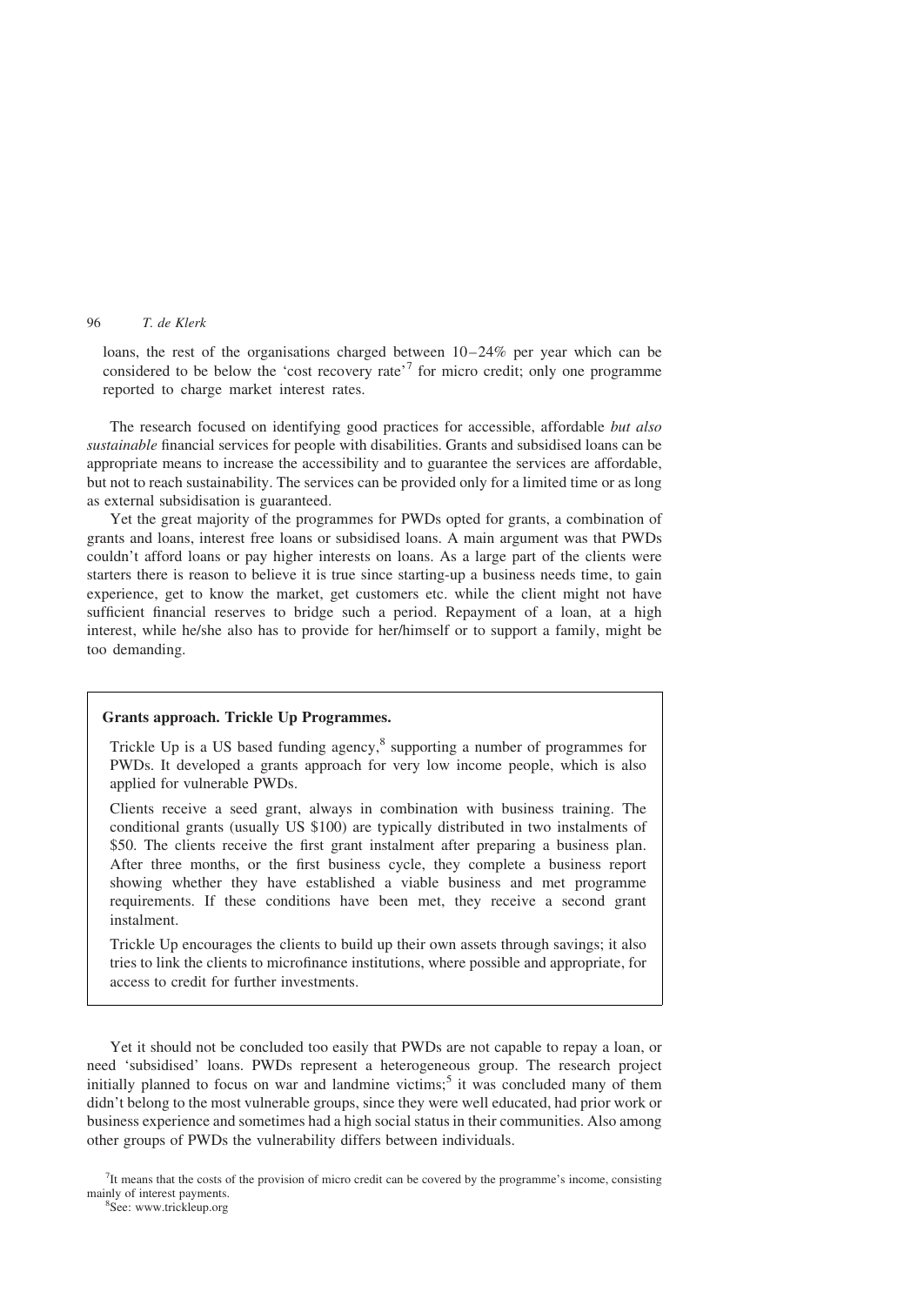loans, the rest of the organisations charged between 10–24% per year which can be considered to be below the 'cost recovery rate'<sup>7</sup> for micro credit; only one programme reported to charge market interest rates.

The research focused on identifying good practices for accessible, affordable but also sustainable financial services for people with disabilities. Grants and subsidised loans can be appropriate means to increase the accessibility and to guarantee the services are affordable, but not to reach sustainability. The services can be provided only for a limited time or as long as external subsidisation is guaranteed.

Yet the great majority of the programmes for PWDs opted for grants, a combination of grants and loans, interest free loans or subsidised loans. A main argument was that PWDs couldn't afford loans or pay higher interests on loans. As a large part of the clients were starters there is reason to believe it is true since starting-up a business needs time, to gain experience, get to know the market, get customers etc. while the client might not have sufficient financial reserves to bridge such a period. Repayment of a loan, at a high interest, while he/she also has to provide for her/himself or to support a family, might be too demanding.

### Grants approach. Trickle Up Programmes.

Trickle Up is a US based funding agency, $\delta$  supporting a number of programmes for PWDs. It developed a grants approach for very low income people, which is also applied for vulnerable PWDs.

Clients receive a seed grant, always in combination with business training. The conditional grants (usually US \$100) are typically distributed in two instalments of \$50. The clients receive the first grant instalment after preparing a business plan. After three months, or the first business cycle, they complete a business report showing whether they have established a viable business and met programme requirements. If these conditions have been met, they receive a second grant instalment.

Trickle Up encourages the clients to build up their own assets through savings; it also tries to link the clients to microfinance institutions, where possible and appropriate, for access to credit for further investments.

Yet it should not be concluded too easily that PWDs are not capable to repay a loan, or need 'subsidised' loans. PWDs represent a heterogeneous group. The research project initially planned to focus on war and landmine victims;<sup>5</sup> it was concluded many of them didn't belong to the most vulnerable groups, since they were well educated, had prior work or business experience and sometimes had a high social status in their communities. Also among other groups of PWDs the vulnerability differs between individuals.

 $7$ It means that the costs of the provision of micro credit can be covered by the programme's income, consisting mainly of interest payments.

See: www.trickleup.org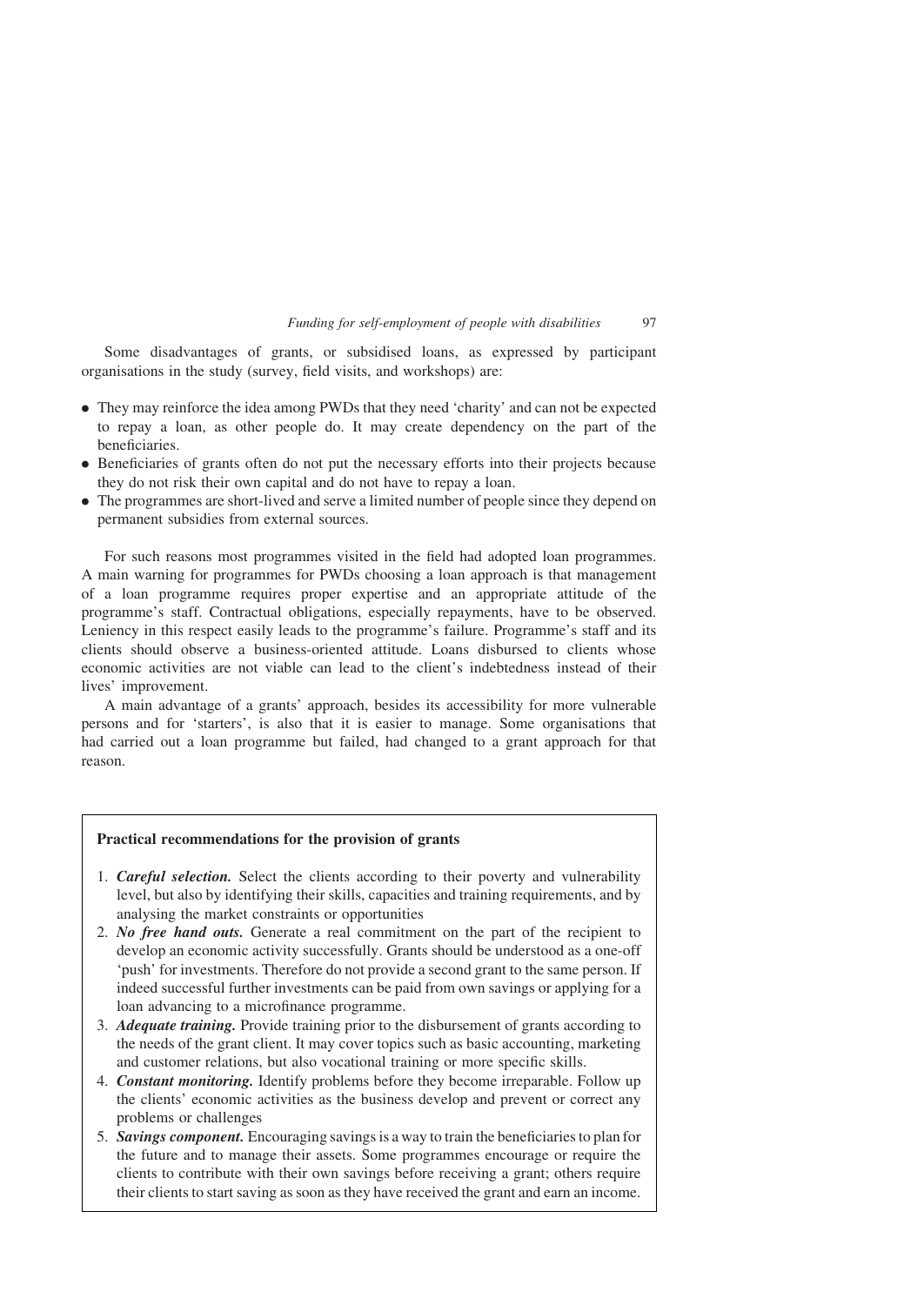Some disadvantages of grants, or subsidised loans, as expressed by participant organisations in the study (survey, field visits, and workshops) are:

- . They may reinforce the idea among PWDs that they need 'charity' and can not be expected to repay a loan, as other people do. It may create dependency on the part of the beneficiaries.
- . Beneficiaries of grants often do not put the necessary efforts into their projects because they do not risk their own capital and do not have to repay a loan.
- . The programmes are short-lived and serve a limited number of people since they depend on permanent subsidies from external sources.

For such reasons most programmes visited in the field had adopted loan programmes. A main warning for programmes for PWDs choosing a loan approach is that management of a loan programme requires proper expertise and an appropriate attitude of the programme's staff. Contractual obligations, especially repayments, have to be observed. Leniency in this respect easily leads to the programme's failure. Programme's staff and its clients should observe a business-oriented attitude. Loans disbursed to clients whose economic activities are not viable can lead to the client's indebtedness instead of their lives' improvement.

A main advantage of a grants' approach, besides its accessibility for more vulnerable persons and for 'starters', is also that it is easier to manage. Some organisations that had carried out a loan programme but failed, had changed to a grant approach for that reason.

# Practical recommendations for the provision of grants

- 1. Careful selection. Select the clients according to their poverty and vulnerability level, but also by identifying their skills, capacities and training requirements, and by analysing the market constraints or opportunities
- 2. No free hand outs. Generate a real commitment on the part of the recipient to develop an economic activity successfully. Grants should be understood as a one-off 'push' for investments. Therefore do not provide a second grant to the same person. If indeed successful further investments can be paid from own savings or applying for a loan advancing to a microfinance programme.
- 3. Adequate training. Provide training prior to the disbursement of grants according to the needs of the grant client. It may cover topics such as basic accounting, marketing and customer relations, but also vocational training or more specific skills.
- 4. Constant monitoring. Identify problems before they become irreparable. Follow up the clients' economic activities as the business develop and prevent or correct any problems or challenges
- 5. Savings component. Encouraging savings is a way to train the beneficiaries to plan for the future and to manage their assets. Some programmes encourage or require the clients to contribute with their own savings before receiving a grant; others require their clients to start saving as soon as they have received the grant and earn an income.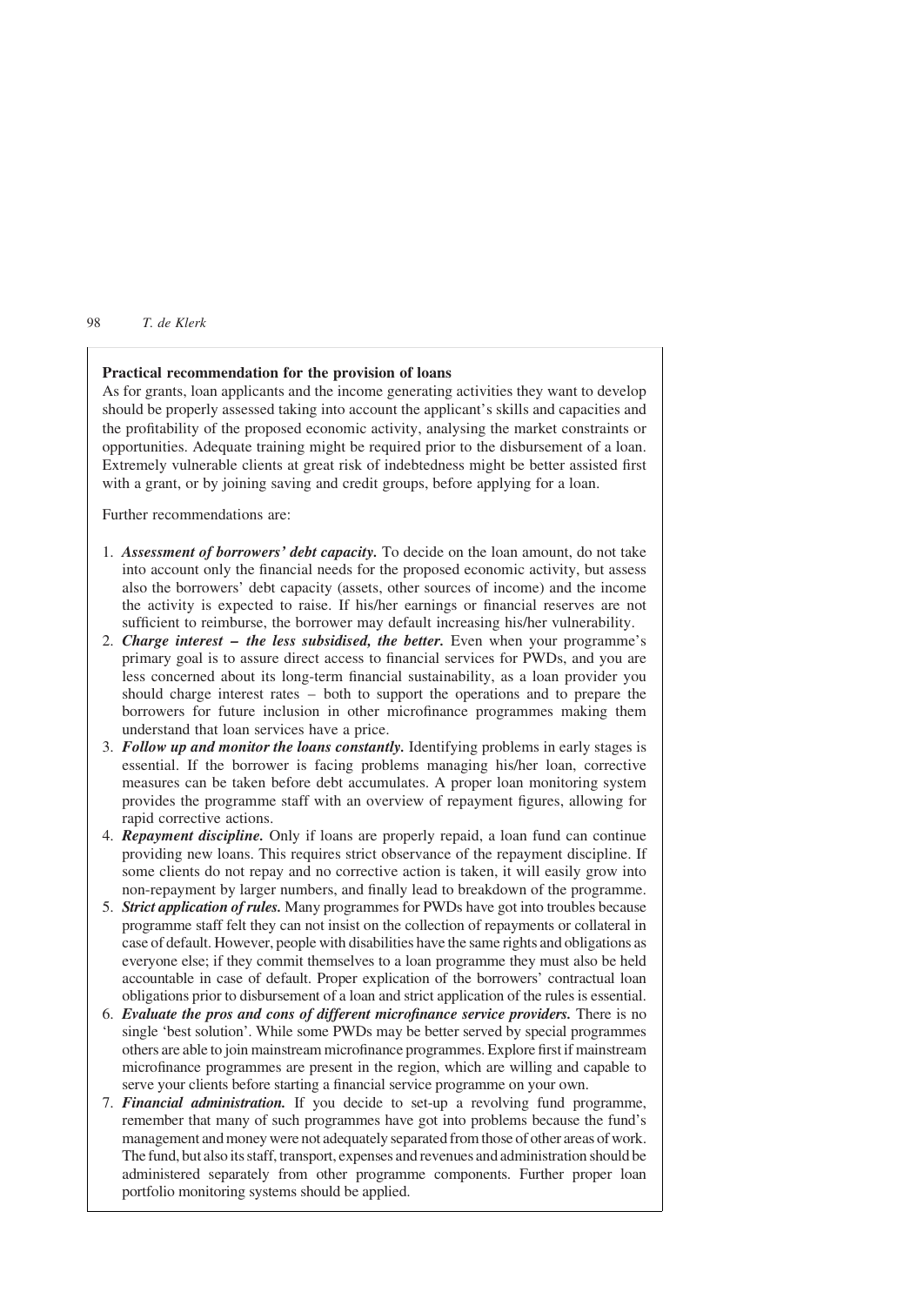### Practical recommendation for the provision of loans

As for grants, loan applicants and the income generating activities they want to develop should be properly assessed taking into account the applicant's skills and capacities and the profitability of the proposed economic activity, analysing the market constraints or opportunities. Adequate training might be required prior to the disbursement of a loan. Extremely vulnerable clients at great risk of indebtedness might be better assisted first with a grant, or by joining saving and credit groups, before applying for a loan.

Further recommendations are:

- 1. Assessment of borrowers' debt capacity. To decide on the loan amount, do not take into account only the financial needs for the proposed economic activity, but assess also the borrowers' debt capacity (assets, other sources of income) and the income the activity is expected to raise. If his/her earnings or financial reserves are not sufficient to reimburse, the borrower may default increasing his/her vulnerability.
- 2. Charge interest  $-$  the less subsidised, the better. Even when your programme's primary goal is to assure direct access to financial services for PWDs, and you are less concerned about its long-term financial sustainability, as a loan provider you should charge interest rates – both to support the operations and to prepare the borrowers for future inclusion in other microfinance programmes making them understand that loan services have a price.
- 3. Follow up and monitor the loans constantly. Identifying problems in early stages is essential. If the borrower is facing problems managing his/her loan, corrective measures can be taken before debt accumulates. A proper loan monitoring system provides the programme staff with an overview of repayment figures, allowing for rapid corrective actions.
- 4. Repayment discipline. Only if loans are properly repaid, a loan fund can continue providing new loans. This requires strict observance of the repayment discipline. If some clients do not repay and no corrective action is taken, it will easily grow into non-repayment by larger numbers, and finally lead to breakdown of the programme.
- 5. Strict application of rules. Many programmes for PWDs have got into troubles because programme staff felt they can not insist on the collection of repayments or collateral in case of default. However, people with disabilities have the same rights and obligations as everyone else; if they commit themselves to a loan programme they must also be held accountable in case of default. Proper explication of the borrowers' contractual loan obligations prior to disbursement of a loan and strict application of the rules is essential.
- 6. Evaluate the pros and cons of different microfinance service providers. There is no single 'best solution'. While some PWDs may be better served by special programmes others are able to join mainstream microfinance programmes. Explore first if mainstream microfinance programmes are present in the region, which are willing and capable to serve your clients before starting a financial service programme on your own.
- 7. Financial administration. If you decide to set-up a revolving fund programme, remember that many of such programmes have got into problems because the fund's management and money were not adequately separated from those of other areas of work. The fund, but also its staff, transport, expenses and revenues and administration should be administered separately from other programme components. Further proper loan portfolio monitoring systems should be applied.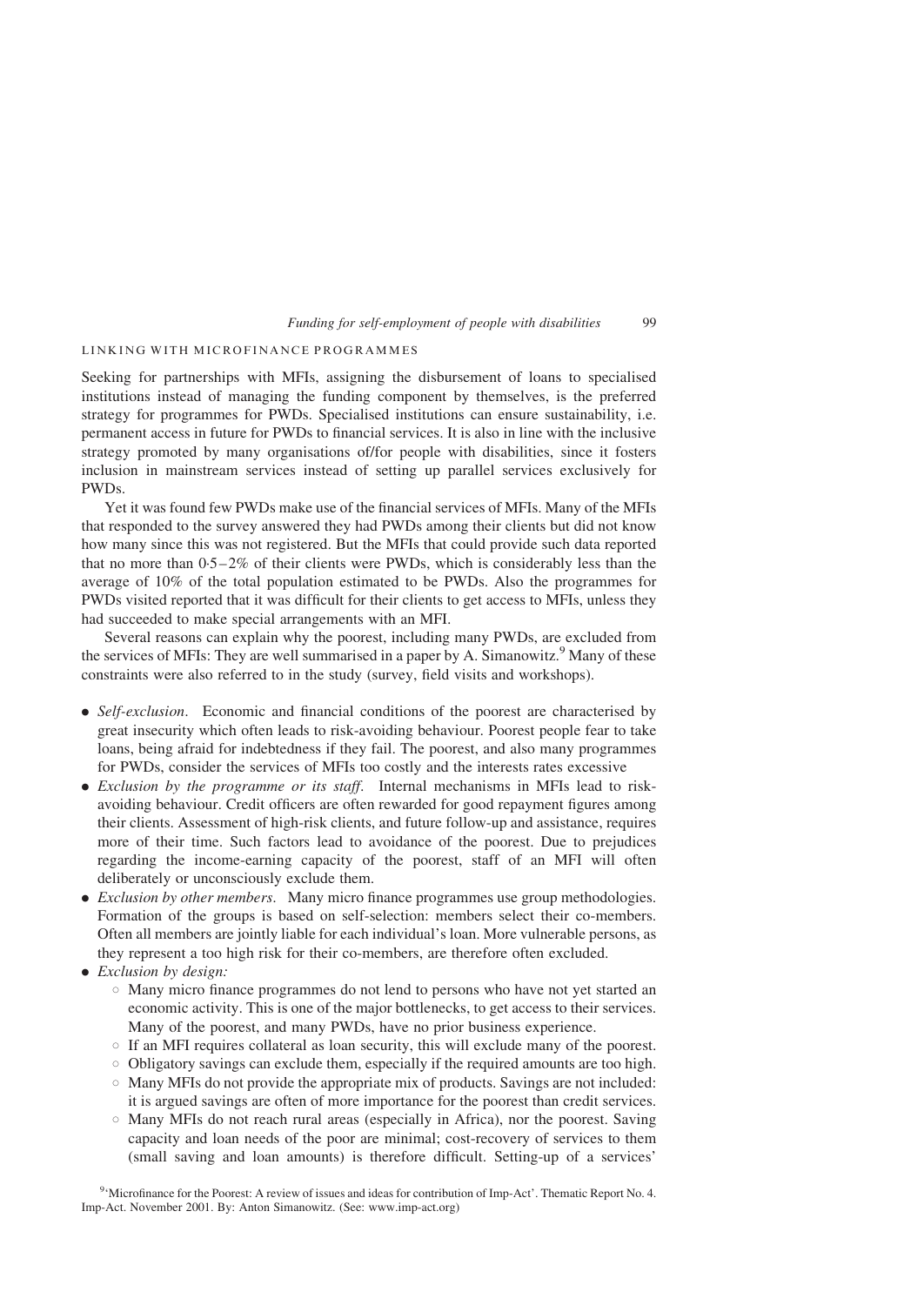# LINKING WITH MICROFINANCE PROGRAMMES

Seeking for partnerships with MFIs, assigning the disbursement of loans to specialised institutions instead of managing the funding component by themselves, is the preferred strategy for programmes for PWDs. Specialised institutions can ensure sustainability, i.e. permanent access in future for PWDs to financial services. It is also in line with the inclusive strategy promoted by many organisations of/for people with disabilities, since it fosters inclusion in mainstream services instead of setting up parallel services exclusively for PWDs.

Yet it was found few PWDs make use of the financial services of MFIs. Many of the MFIs that responded to the survey answered they had PWDs among their clients but did not know how many since this was not registered. But the MFIs that could provide such data reported that no more than  $0.5-2\%$  of their clients were PWDs, which is considerably less than the average of 10% of the total population estimated to be PWDs. Also the programmes for PWDs visited reported that it was difficult for their clients to get access to MFIs, unless they had succeeded to make special arrangements with an MFI.

Several reasons can explain why the poorest, including many PWDs, are excluded from the services of MFIs: They are well summarised in a paper by A. Simanowitz.<sup>9</sup> Many of these constraints were also referred to in the study (survey, field visits and workshops).

- Self-exclusion. Economic and financial conditions of the poorest are characterised by great insecurity which often leads to risk-avoiding behaviour. Poorest people fear to take loans, being afraid for indebtedness if they fail. The poorest, and also many programmes for PWDs, consider the services of MFIs too costly and the interests rates excessive
- . Exclusion by the programme or its staff. Internal mechanisms in MFIs lead to riskavoiding behaviour. Credit officers are often rewarded for good repayment figures among their clients. Assessment of high-risk clients, and future follow-up and assistance, requires more of their time. Such factors lead to avoidance of the poorest. Due to prejudices regarding the income-earning capacity of the poorest, staff of an MFI will often deliberately or unconsciously exclude them.
- . Exclusion by other members. Many micro finance programmes use group methodologies. Formation of the groups is based on self-selection: members select their co-members. Often all members are jointly liable for each individual's loan. More vulnerable persons, as they represent a too high risk for their co-members, are therefore often excluded.
- Exclusion by design:
	- $\circ$  Many micro finance programmes do not lend to persons who have not yet started an economic activity. This is one of the major bottlenecks, to get access to their services. Many of the poorest, and many PWDs, have no prior business experience.
	- $\circ$  If an MFI requires collateral as loan security, this will exclude many of the poorest.
	- $\circ$  Obligatory savings can exclude them, especially if the required amounts are too high.
	- $\circ$  Many MFIs do not provide the appropriate mix of products. Savings are not included: it is argued savings are often of more importance for the poorest than credit services.
	- $\circ$  Many MFIs do not reach rural areas (especially in Africa), nor the poorest. Saving capacity and loan needs of the poor are minimal; cost-recovery of services to them (small saving and loan amounts) is therefore difficult. Setting-up of a services'

<sup>9</sup>'Microfinance for the Poorest: A review of issues and ideas for contribution of Imp-Act'. Thematic Report No. 4. Imp-Act. November 2001. By: Anton Simanowitz. (See: www.imp-act.org)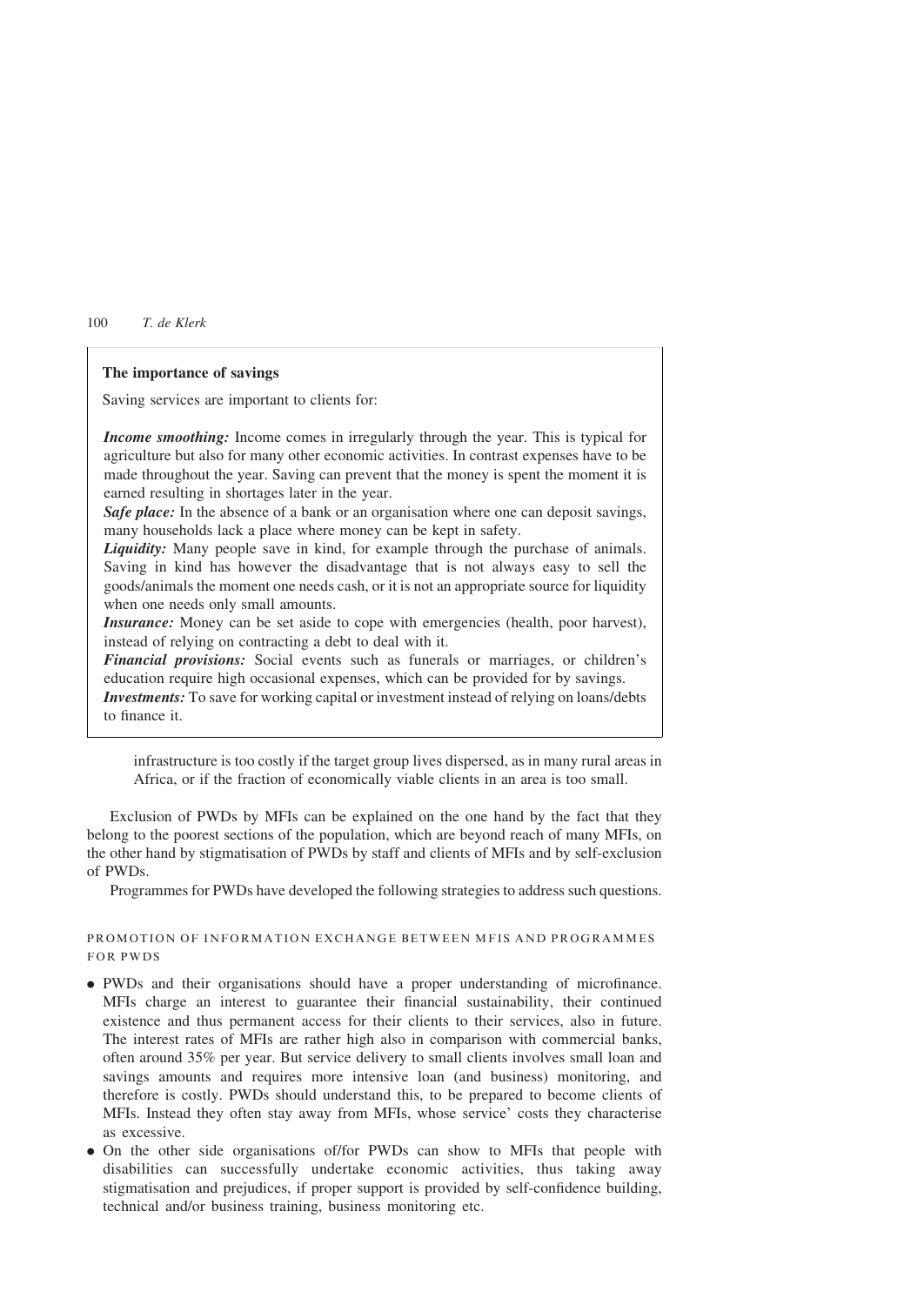### The importance of savings

Saving services are important to clients for:

Income smoothing: Income comes in irregularly through the year. This is typical for agriculture but also for many other economic activities. In contrast expenses have to be made throughout the year. Saving can prevent that the money is spent the moment it is earned resulting in shortages later in the year.

Safe place: In the absence of a bank or an organisation where one can deposit savings, many households lack a place where money can be kept in safety.

Liquidity: Many people save in kind, for example through the purchase of animals. Saving in kind has however the disadvantage that is not always easy to sell the goods/animals the moment one needs cash, or it is not an appropriate source for liquidity when one needs only small amounts.

Insurance: Money can be set aside to cope with emergencies (health, poor harvest), instead of relying on contracting a debt to deal with it.

Financial provisions: Social events such as funerals or marriages, or children's education require high occasional expenses, which can be provided for by savings.

Investments: To save for working capital or investment instead of relying on loans/debts to finance it.

infrastructure is too costly if the target group lives dispersed, as in many rural areas in Africa, or if the fraction of economically viable clients in an area is too small.

Exclusion of PWDs by MFIs can be explained on the one hand by the fact that they belong to the poorest sections of the population, which are beyond reach of many MFIs, on the other hand by stigmatisation of PWDs by staff and clients of MFIs and by self-exclusion of PWDs.

Programmes for PWDs have developed the following strategies to address such questions.

# PROMOTION OF INFORMATION EXCHANGE BETWEEN MFIS AND PROGRAMMES FOR PWDS

- . PWDs and their organisations should have a proper understanding of microfinance. MFIs charge an interest to guarantee their financial sustainability, their continued existence and thus permanent access for their clients to their services, also in future. The interest rates of MFIs are rather high also in comparison with commercial banks, often around 35% per year. But service delivery to small clients involves small loan and savings amounts and requires more intensive loan (and business) monitoring, and therefore is costly. PWDs should understand this, to be prepared to become clients of MFIs. Instead they often stay away from MFIs, whose service' costs they characterise as excessive.
- . On the other side organisations of/for PWDs can show to MFIs that people with disabilities can successfully undertake economic activities, thus taking away stigmatisation and prejudices, if proper support is provided by self-confidence building, technical and/or business training, business monitoring etc.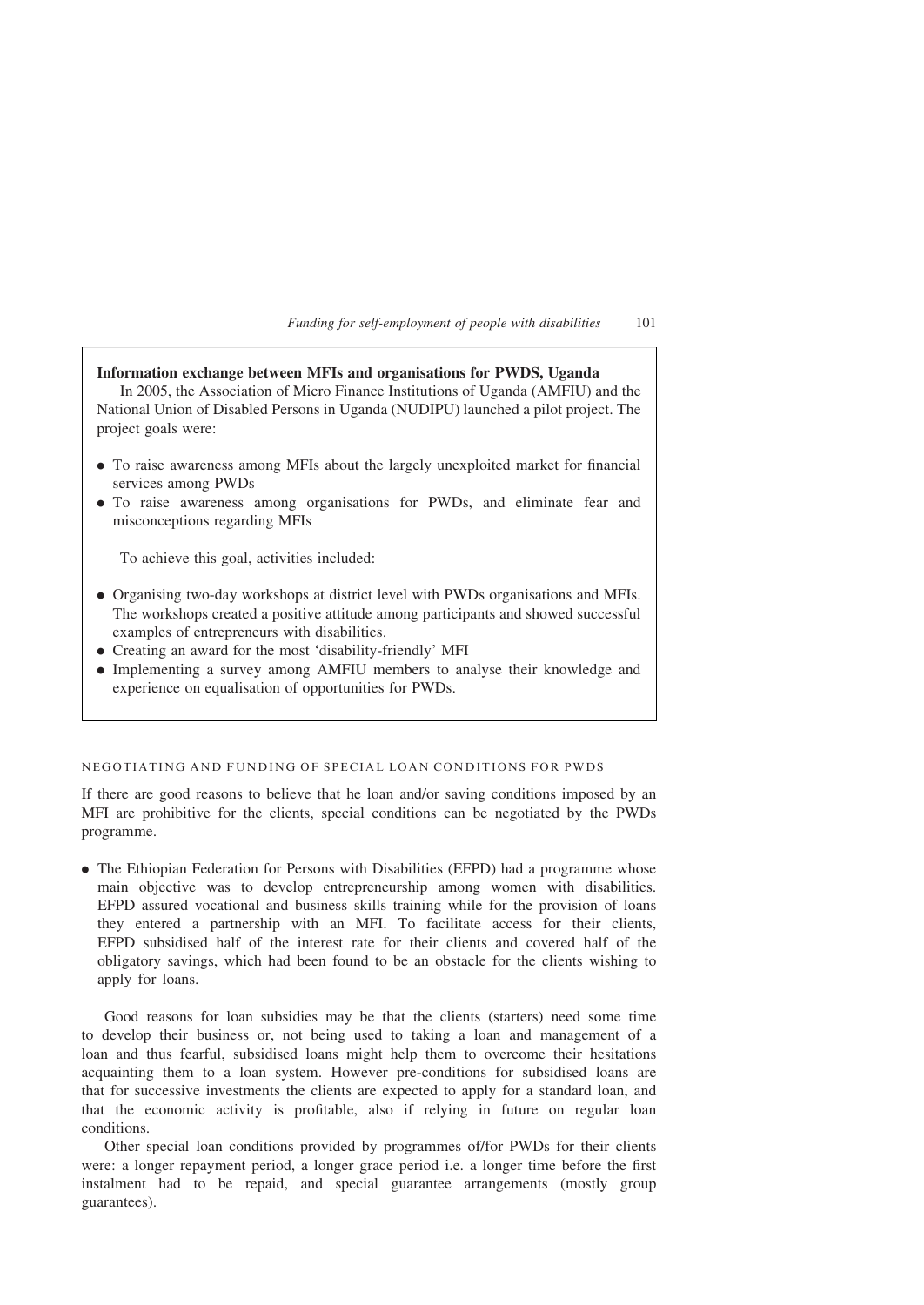| Information exchange between MFIs and organisations for PWDS, Uganda<br>In 2005, the Association of Micro Finance Institutions of Uganda (AMFIU) and the<br>National Union of Disabled Persons in Uganda (NUDIPU) launched a pilot project. The<br>project goals were:                                                                                                                                                        |  |  |
|-------------------------------------------------------------------------------------------------------------------------------------------------------------------------------------------------------------------------------------------------------------------------------------------------------------------------------------------------------------------------------------------------------------------------------|--|--|
| • To raise awareness among MFIs about the largely unexploited market for financial<br>services among PWDs<br>• To raise awareness among organisations for PWDs, and eliminate fear and<br>misconceptions regarding MFIs                                                                                                                                                                                                       |  |  |
| To achieve this goal, activities included:                                                                                                                                                                                                                                                                                                                                                                                    |  |  |
| • Organising two-day workshops at district level with PWDs organisations and MFIs.<br>The workshops created a positive attitude among participants and showed successful<br>examples of entrepreneurs with disabilities.<br>• Creating an award for the most 'disability-friendly' MFI<br>• Implementing a survey among AMFIU members to analyse their knowledge and<br>experience on equalisation of opportunities for PWDs. |  |  |

# NEGOTIATING AND FUNDING OF SPECIAL LOAN CONDITIONS FOR PWDS

If there are good reasons to believe that he loan and/or saving conditions imposed by an MFI are prohibitive for the clients, special conditions can be negotiated by the PWDs programme.

. The Ethiopian Federation for Persons with Disabilities (EFPD) had a programme whose main objective was to develop entrepreneurship among women with disabilities. EFPD assured vocational and business skills training while for the provision of loans they entered a partnership with an MFI. To facilitate access for their clients, EFPD subsidised half of the interest rate for their clients and covered half of the obligatory savings, which had been found to be an obstacle for the clients wishing to apply for loans.

Good reasons for loan subsidies may be that the clients (starters) need some time to develop their business or, not being used to taking a loan and management of a loan and thus fearful, subsidised loans might help them to overcome their hesitations acquainting them to a loan system. However pre-conditions for subsidised loans are that for successive investments the clients are expected to apply for a standard loan, and that the economic activity is profitable, also if relying in future on regular loan conditions.

Other special loan conditions provided by programmes of/for PWDs for their clients were: a longer repayment period, a longer grace period i.e. a longer time before the first instalment had to be repaid, and special guarantee arrangements (mostly group guarantees).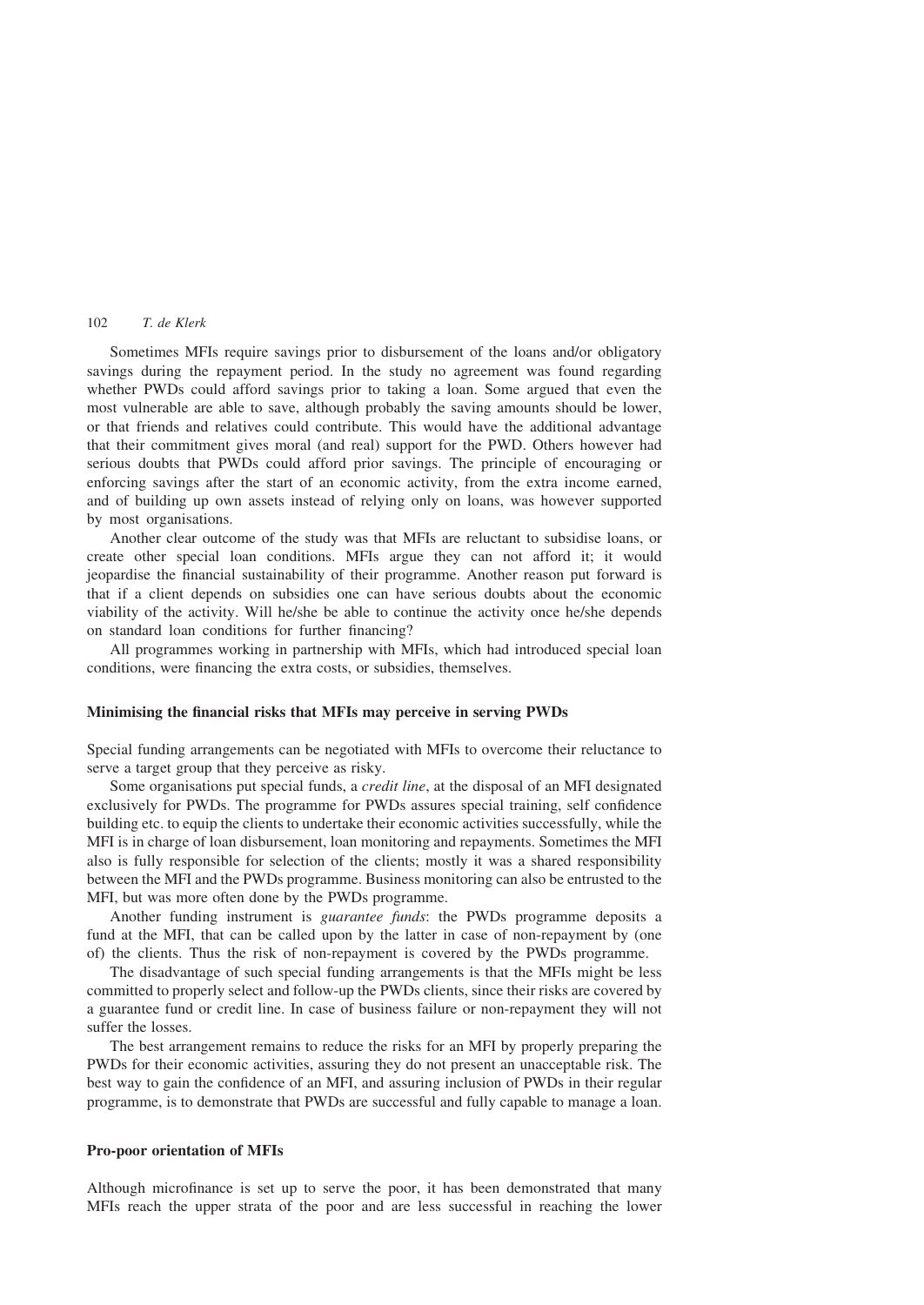Sometimes MFIs require savings prior to disbursement of the loans and/or obligatory savings during the repayment period. In the study no agreement was found regarding whether PWDs could afford savings prior to taking a loan. Some argued that even the most vulnerable are able to save, although probably the saving amounts should be lower, or that friends and relatives could contribute. This would have the additional advantage that their commitment gives moral (and real) support for the PWD. Others however had serious doubts that PWDs could afford prior savings. The principle of encouraging or enforcing savings after the start of an economic activity, from the extra income earned, and of building up own assets instead of relying only on loans, was however supported by most organisations.

Another clear outcome of the study was that MFIs are reluctant to subsidise loans, or create other special loan conditions. MFIs argue they can not afford it; it would jeopardise the financial sustainability of their programme. Another reason put forward is that if a client depends on subsidies one can have serious doubts about the economic viability of the activity. Will he/she be able to continue the activity once he/she depends on standard loan conditions for further financing?

All programmes working in partnership with MFIs, which had introduced special loan conditions, were financing the extra costs, or subsidies, themselves.

# Minimising the financial risks that MFIs may perceive in serving PWDs

Special funding arrangements can be negotiated with MFIs to overcome their reluctance to serve a target group that they perceive as risky.

Some organisations put special funds, a credit line, at the disposal of an MFI designated exclusively for PWDs. The programme for PWDs assures special training, self confidence building etc. to equip the clients to undertake their economic activities successfully, while the MFI is in charge of loan disbursement, loan monitoring and repayments. Sometimes the MFI also is fully responsible for selection of the clients; mostly it was a shared responsibility between the MFI and the PWDs programme. Business monitoring can also be entrusted to the MFI, but was more often done by the PWDs programme.

Another funding instrument is guarantee funds: the PWDs programme deposits a fund at the MFI, that can be called upon by the latter in case of non-repayment by (one of) the clients. Thus the risk of non-repayment is covered by the PWDs programme.

The disadvantage of such special funding arrangements is that the MFIs might be less committed to properly select and follow-up the PWDs clients, since their risks are covered by a guarantee fund or credit line. In case of business failure or non-repayment they will not suffer the losses.

The best arrangement remains to reduce the risks for an MFI by properly preparing the PWDs for their economic activities, assuring they do not present an unacceptable risk. The best way to gain the confidence of an MFI, and assuring inclusion of PWDs in their regular programme, is to demonstrate that PWDs are successful and fully capable to manage a loan.

### Pro-poor orientation of MFIs

Although microfinance is set up to serve the poor, it has been demonstrated that many MFIs reach the upper strata of the poor and are less successful in reaching the lower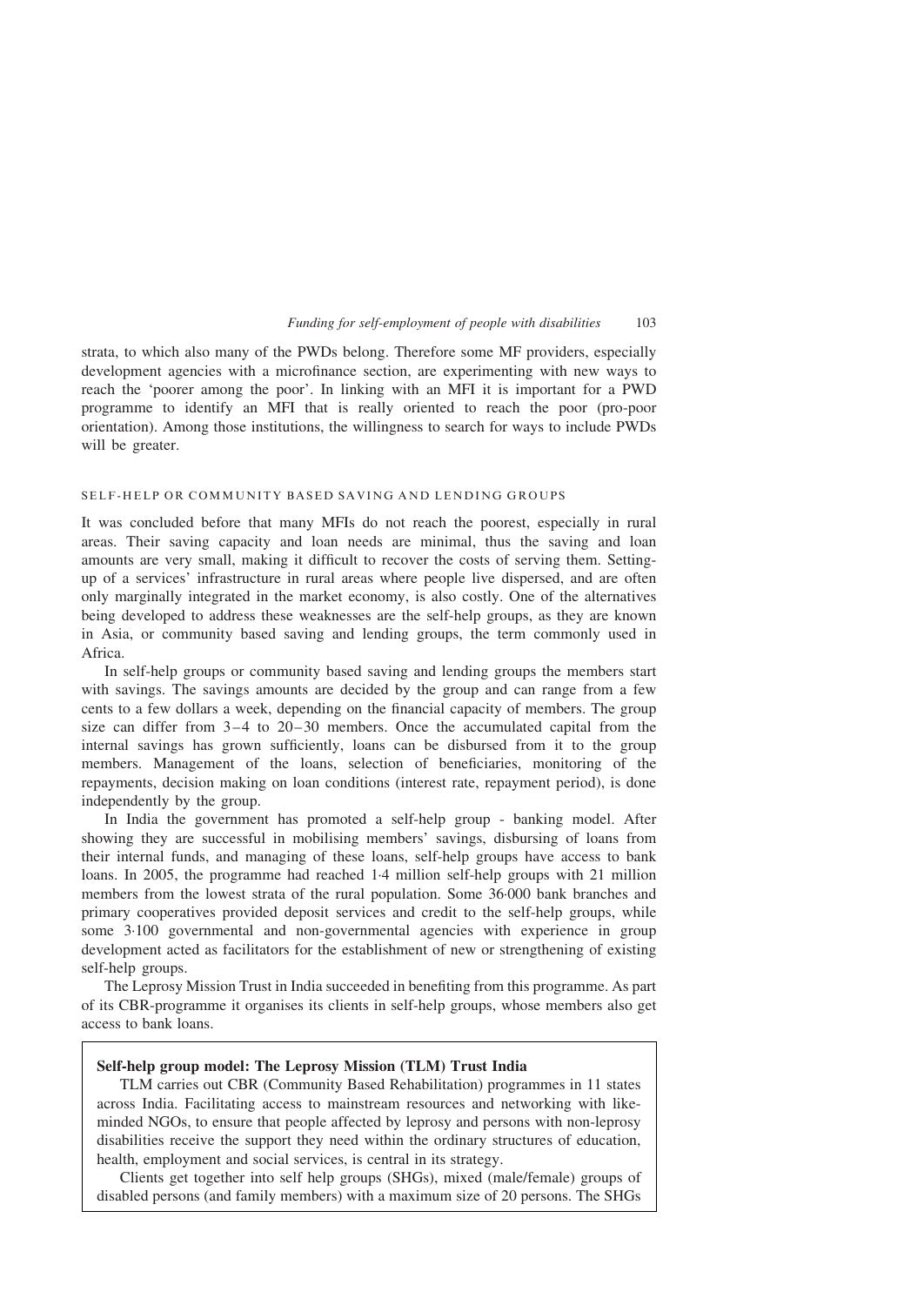strata, to which also many of the PWDs belong. Therefore some MF providers, especially development agencies with a microfinance section, are experimenting with new ways to reach the 'poorer among the poor'. In linking with an MFI it is important for a PWD programme to identify an MFI that is really oriented to reach the poor (pro-poor orientation). Among those institutions, the willingness to search for ways to include PWDs will be greater.

# SELF-HELP OR COMMUNITY BASED SAVING AND LENDING GROUPS

It was concluded before that many MFIs do not reach the poorest, especially in rural areas. Their saving capacity and loan needs are minimal, thus the saving and loan amounts are very small, making it difficult to recover the costs of serving them. Settingup of a services' infrastructure in rural areas where people live dispersed, and are often only marginally integrated in the market economy, is also costly. One of the alternatives being developed to address these weaknesses are the self-help groups, as they are known in Asia, or community based saving and lending groups, the term commonly used in Africa.

In self-help groups or community based saving and lending groups the members start with savings. The savings amounts are decided by the group and can range from a few cents to a few dollars a week, depending on the financial capacity of members. The group size can differ from  $3-4$  to  $20-30$  members. Once the accumulated capital from the internal savings has grown sufficiently, loans can be disbursed from it to the group members. Management of the loans, selection of beneficiaries, monitoring of the repayments, decision making on loan conditions (interest rate, repayment period), is done independently by the group.

In India the government has promoted a self-help group - banking model. After showing they are successful in mobilising members' savings, disbursing of loans from their internal funds, and managing of these loans, self-help groups have access to bank loans. In 2005, the programme had reached 1·4 million self-help groups with 21 million members from the lowest strata of the rural population. Some 36·000 bank branches and primary cooperatives provided deposit services and credit to the self-help groups, while some 3·100 governmental and non-governmental agencies with experience in group development acted as facilitators for the establishment of new or strengthening of existing self-help groups.

The Leprosy Mission Trust in India succeeded in benefiting from this programme. As part of its CBR-programme it organises its clients in self-help groups, whose members also get access to bank loans.

# Self-help group model: The Leprosy Mission (TLM) Trust India

TLM carries out CBR (Community Based Rehabilitation) programmes in 11 states across India. Facilitating access to mainstream resources and networking with likeminded NGOs, to ensure that people affected by leprosy and persons with non-leprosy disabilities receive the support they need within the ordinary structures of education, health, employment and social services, is central in its strategy.

Clients get together into self help groups (SHGs), mixed (male/female) groups of disabled persons (and family members) with a maximum size of 20 persons. The SHGs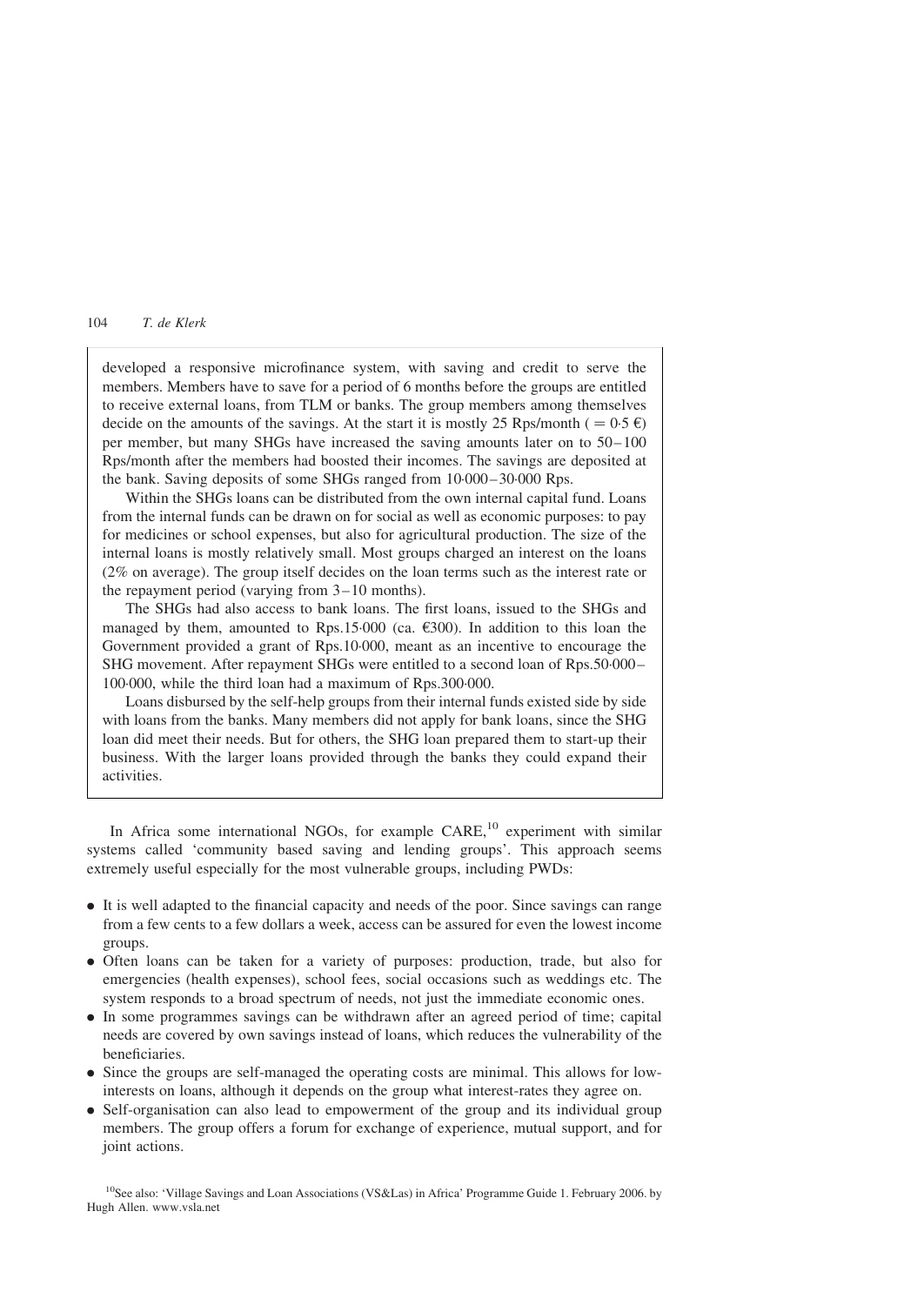developed a responsive microfinance system, with saving and credit to serve the members. Members have to save for a period of 6 months before the groups are entitled to receive external loans, from TLM or banks. The group members among themselves decide on the amounts of the savings. At the start it is mostly 25 Rps/month ( $= 0.5 \epsilon$ ) per member, but many SHGs have increased the saving amounts later on to 50–100 Rps/month after the members had boosted their incomes. The savings are deposited at the bank. Saving deposits of some SHGs ranged from 10·000–30·000 Rps.

Within the SHGs loans can be distributed from the own internal capital fund. Loans from the internal funds can be drawn on for social as well as economic purposes: to pay for medicines or school expenses, but also for agricultural production. The size of the internal loans is mostly relatively small. Most groups charged an interest on the loans (2% on average). The group itself decides on the loan terms such as the interest rate or the repayment period (varying from 3–10 months).

The SHGs had also access to bank loans. The first loans, issued to the SHGs and managed by them, amounted to Rps.15.000 (ca.  $\epsilon$ 300). In addition to this loan the Government provided a grant of Rps.10·000, meant as an incentive to encourage the SHG movement. After repayment SHGs were entitled to a second loan of Rps.50·000– 100·000, while the third loan had a maximum of Rps.300·000.

Loans disbursed by the self-help groups from their internal funds existed side by side with loans from the banks. Many members did not apply for bank loans, since the SHG loan did meet their needs. But for others, the SHG loan prepared them to start-up their business. With the larger loans provided through the banks they could expand their activities.

In Africa some international NGOs, for example  $CARE<sup>10</sup>$  experiment with similar systems called 'community based saving and lending groups'. This approach seems extremely useful especially for the most vulnerable groups, including PWDs:

- . It is well adapted to the financial capacity and needs of the poor. Since savings can range from a few cents to a few dollars a week, access can be assured for even the lowest income groups.
- . Often loans can be taken for a variety of purposes: production, trade, but also for emergencies (health expenses), school fees, social occasions such as weddings etc. The system responds to a broad spectrum of needs, not just the immediate economic ones.
- . In some programmes savings can be withdrawn after an agreed period of time; capital needs are covered by own savings instead of loans, which reduces the vulnerability of the beneficiaries.
- . Since the groups are self-managed the operating costs are minimal. This allows for lowinterests on loans, although it depends on the group what interest-rates they agree on.
- . Self-organisation can also lead to empowerment of the group and its individual group members. The group offers a forum for exchange of experience, mutual support, and for joint actions.

<sup>10</sup>See also: 'Village Savings and Loan Associations (VS&Las) in Africa' Programme Guide 1. February 2006. by Hugh Allen. www.vsla.net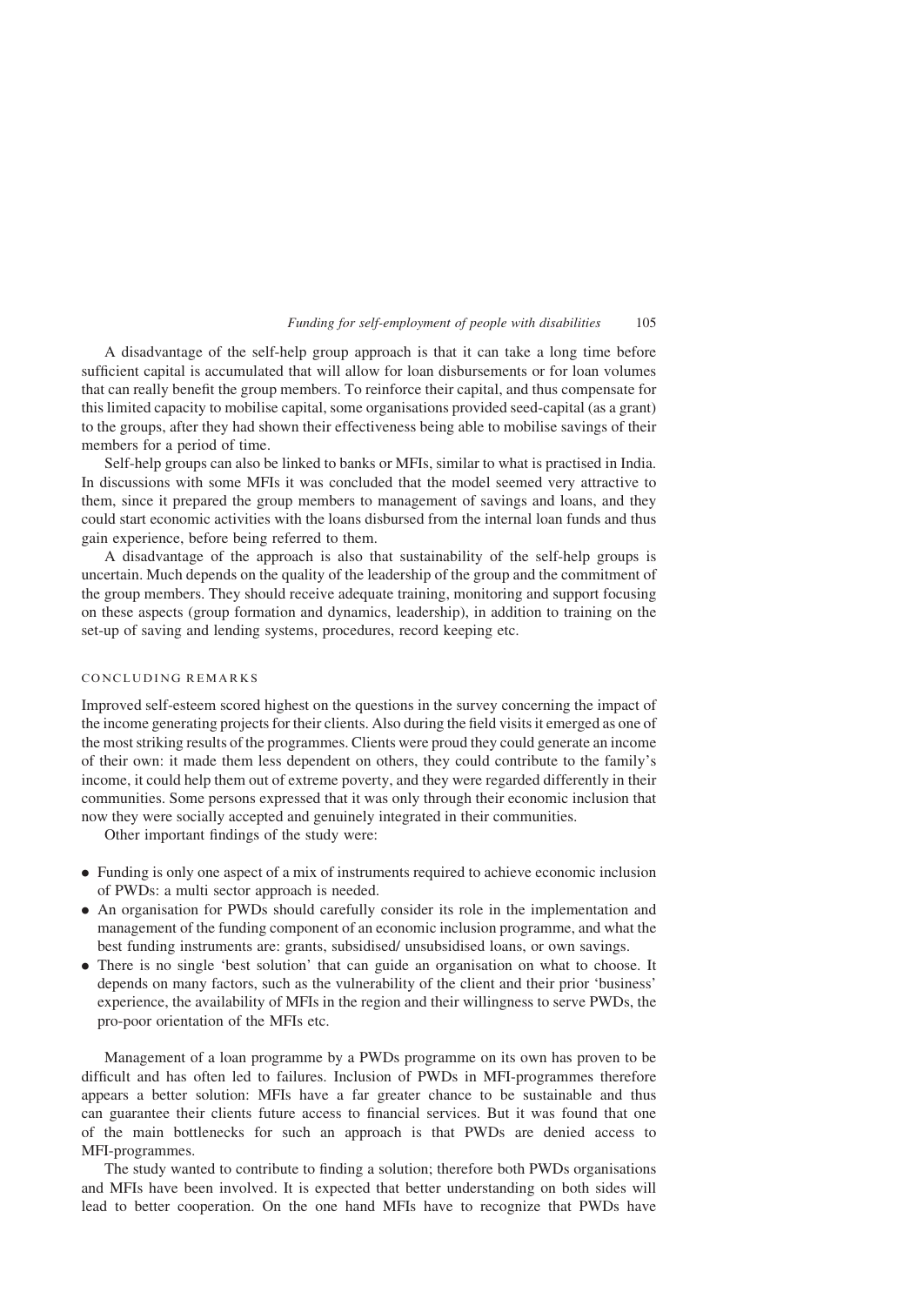A disadvantage of the self-help group approach is that it can take a long time before sufficient capital is accumulated that will allow for loan disbursements or for loan volumes that can really benefit the group members. To reinforce their capital, and thus compensate for this limited capacity to mobilise capital, some organisations provided seed-capital (as a grant) to the groups, after they had shown their effectiveness being able to mobilise savings of their members for a period of time.

Self-help groups can also be linked to banks or MFIs, similar to what is practised in India. In discussions with some MFIs it was concluded that the model seemed very attractive to them, since it prepared the group members to management of savings and loans, and they could start economic activities with the loans disbursed from the internal loan funds and thus gain experience, before being referred to them.

A disadvantage of the approach is also that sustainability of the self-help groups is uncertain. Much depends on the quality of the leadership of the group and the commitment of the group members. They should receive adequate training, monitoring and support focusing on these aspects (group formation and dynamics, leadership), in addition to training on the set-up of saving and lending systems, procedures, record keeping etc.

# CONCLUDING REMARKS

Improved self-esteem scored highest on the questions in the survey concerning the impact of the income generating projects for their clients. Also during the field visits it emerged as one of the most striking results of the programmes. Clients were proud they could generate an income of their own: it made them less dependent on others, they could contribute to the family's income, it could help them out of extreme poverty, and they were regarded differently in their communities. Some persons expressed that it was only through their economic inclusion that now they were socially accepted and genuinely integrated in their communities.

Other important findings of the study were:

- . Funding is only one aspect of a mix of instruments required to achieve economic inclusion of PWDs: a multi sector approach is needed.
- . An organisation for PWDs should carefully consider its role in the implementation and management of the funding component of an economic inclusion programme, and what the best funding instruments are: grants, subsidised/ unsubsidised loans, or own savings.
- . There is no single 'best solution' that can guide an organisation on what to choose. It depends on many factors, such as the vulnerability of the client and their prior 'business' experience, the availability of MFIs in the region and their willingness to serve PWDs, the pro-poor orientation of the MFIs etc.

Management of a loan programme by a PWDs programme on its own has proven to be difficult and has often led to failures. Inclusion of PWDs in MFI-programmes therefore appears a better solution: MFIs have a far greater chance to be sustainable and thus can guarantee their clients future access to financial services. But it was found that one of the main bottlenecks for such an approach is that PWDs are denied access to MFI-programmes.

The study wanted to contribute to finding a solution; therefore both PWDs organisations and MFIs have been involved. It is expected that better understanding on both sides will lead to better cooperation. On the one hand MFIs have to recognize that PWDs have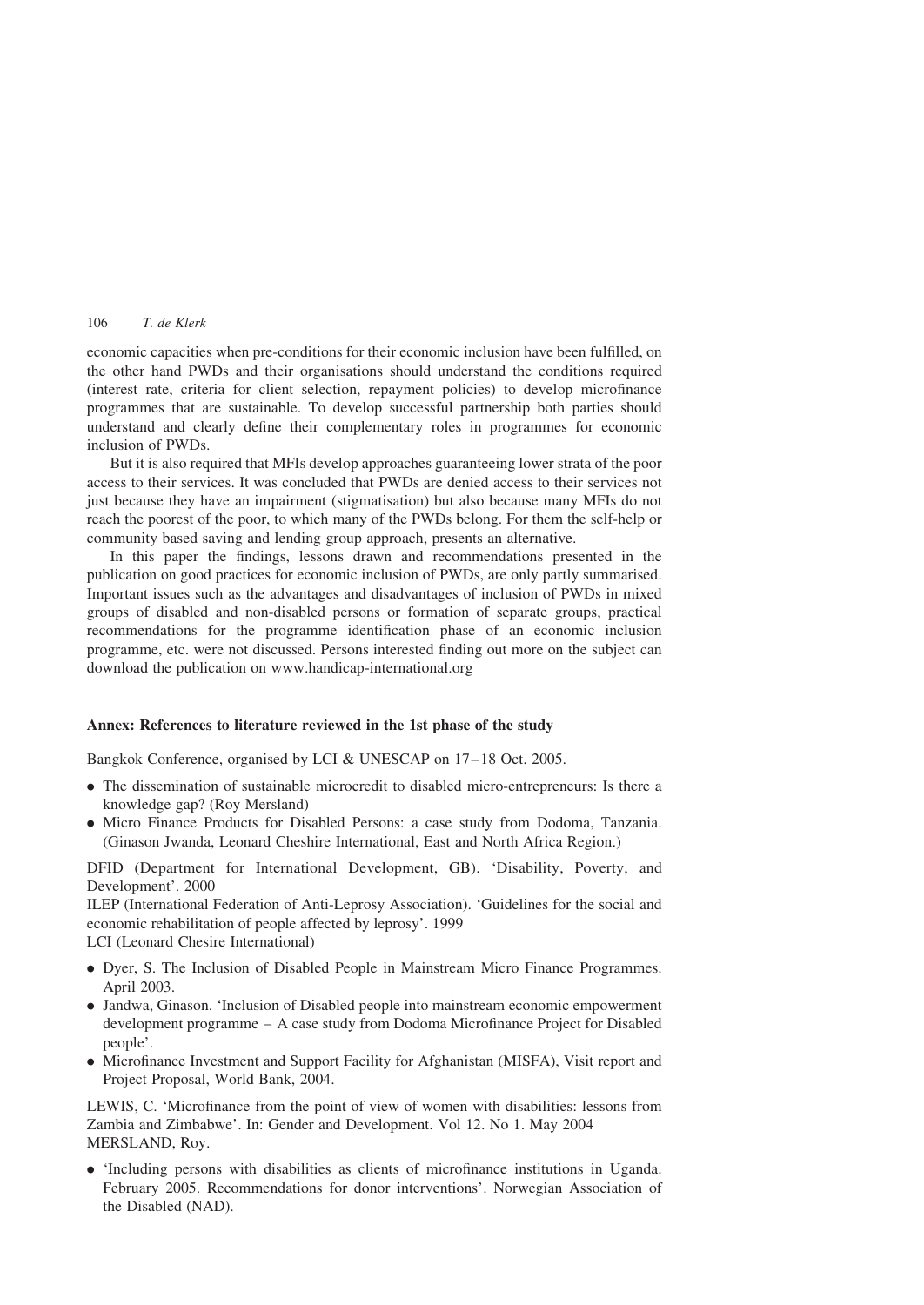economic capacities when pre-conditions for their economic inclusion have been fulfilled, on the other hand PWDs and their organisations should understand the conditions required (interest rate, criteria for client selection, repayment policies) to develop microfinance programmes that are sustainable. To develop successful partnership both parties should understand and clearly define their complementary roles in programmes for economic inclusion of PWDs.

But it is also required that MFIs develop approaches guaranteeing lower strata of the poor access to their services. It was concluded that PWDs are denied access to their services not just because they have an impairment (stigmatisation) but also because many MFIs do not reach the poorest of the poor, to which many of the PWDs belong. For them the self-help or community based saving and lending group approach, presents an alternative.

In this paper the findings, lessons drawn and recommendations presented in the publication on good practices for economic inclusion of PWDs, are only partly summarised. Important issues such as the advantages and disadvantages of inclusion of PWDs in mixed groups of disabled and non-disabled persons or formation of separate groups, practical recommendations for the programme identification phase of an economic inclusion programme, etc. were not discussed. Persons interested finding out more on the subject can download the publication on www.handicap-international.org

# Annex: References to literature reviewed in the 1st phase of the study

Bangkok Conference, organised by LCI & UNESCAP on 17–18 Oct. 2005.

- . The dissemination of sustainable microcredit to disabled micro-entrepreneurs: Is there a knowledge gap? (Roy Mersland)
- . Micro Finance Products for Disabled Persons: a case study from Dodoma, Tanzania. (Ginason Jwanda, Leonard Cheshire International, East and North Africa Region.)

DFID (Department for International Development, GB). 'Disability, Poverty, and Development'. 2000

ILEP (International Federation of Anti-Leprosy Association). 'Guidelines for the social and economic rehabilitation of people affected by leprosy'. 1999

LCI (Leonard Chesire International)

- . Dyer, S. The Inclusion of Disabled People in Mainstream Micro Finance Programmes. April 2003.
- . Jandwa, Ginason. 'Inclusion of Disabled people into mainstream economic empowerment development programme – A case study from Dodoma Microfinance Project for Disabled people'.
- . Microfinance Investment and Support Facility for Afghanistan (MISFA), Visit report and Project Proposal, World Bank, 2004.

LEWIS, C. 'Microfinance from the point of view of women with disabilities: lessons from Zambia and Zimbabwe'. In: Gender and Development. Vol 12. No 1. May 2004 MERSLAND, Roy.

. 'Including persons with disabilities as clients of microfinance institutions in Uganda. February 2005. Recommendations for donor interventions'. Norwegian Association of the Disabled (NAD).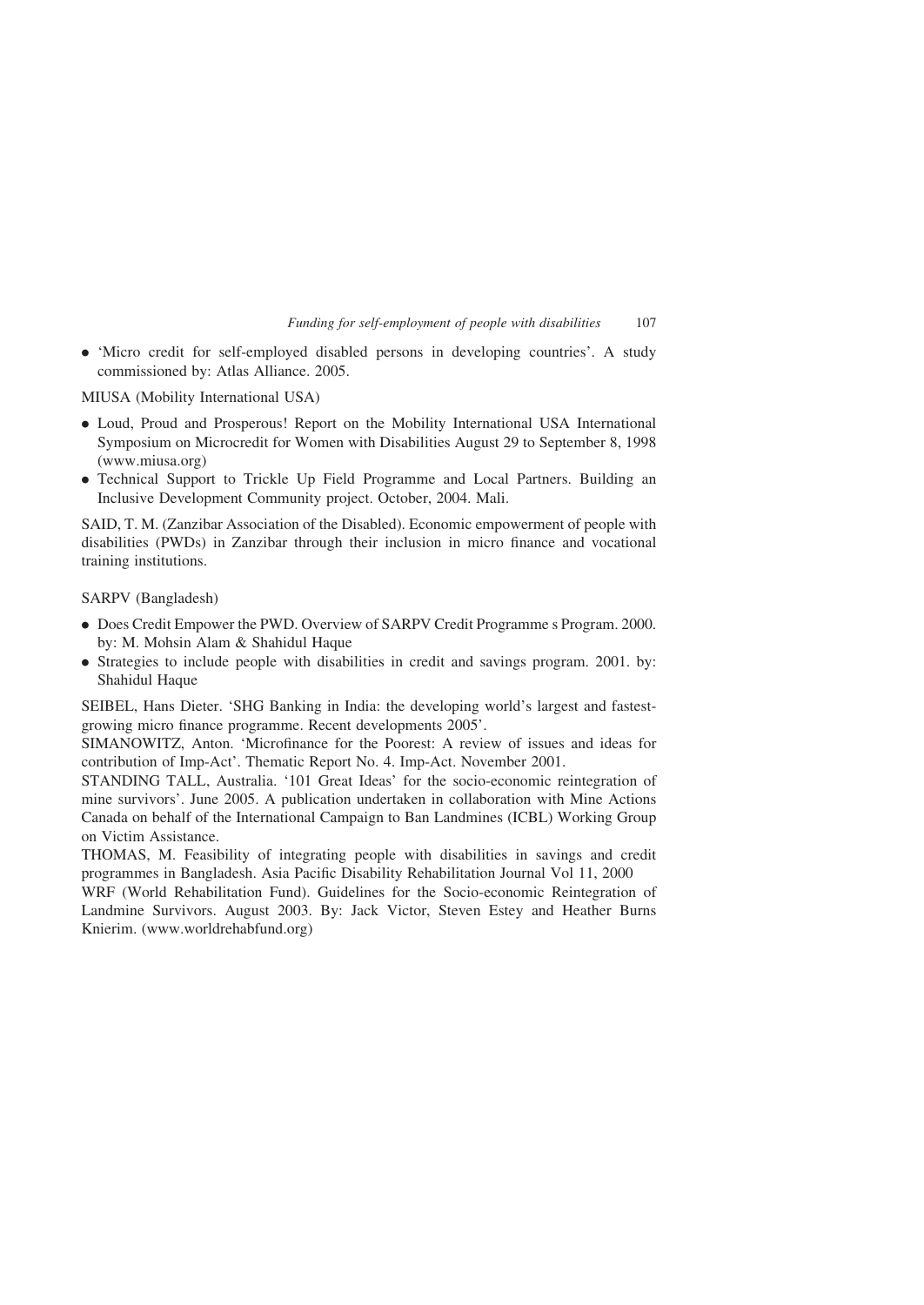. 'Micro credit for self-employed disabled persons in developing countries'. A study commissioned by: Atlas Alliance. 2005.

MIUSA (Mobility International USA)

- . Loud, Proud and Prosperous! Report on the Mobility International USA International Symposium on Microcredit for Women with Disabilities August 29 to September 8, 1998 (www.miusa.org)
- . Technical Support to Trickle Up Field Programme and Local Partners. Building an Inclusive Development Community project. October, 2004. Mali.

SAID, T. M. (Zanzibar Association of the Disabled). Economic empowerment of people with disabilities (PWDs) in Zanzibar through their inclusion in micro finance and vocational training institutions.

SARPV (Bangladesh)

- . Does Credit Empower the PWD. Overview of SARPV Credit Programme s Program. 2000. by: M. Mohsin Alam & Shahidul Haque
- . Strategies to include people with disabilities in credit and savings program. 2001. by: Shahidul Haque

SEIBEL, Hans Dieter. 'SHG Banking in India: the developing world's largest and fastestgrowing micro finance programme. Recent developments 2005'.

SIMANOWITZ, Anton. 'Microfinance for the Poorest: A review of issues and ideas for contribution of Imp-Act'. Thematic Report No. 4. Imp-Act. November 2001.

STANDING TALL, Australia. '101 Great Ideas' for the socio-economic reintegration of mine survivors'. June 2005. A publication undertaken in collaboration with Mine Actions Canada on behalf of the International Campaign to Ban Landmines (ICBL) Working Group on Victim Assistance.

THOMAS, M. Feasibility of integrating people with disabilities in savings and credit programmes in Bangladesh. Asia Pacific Disability Rehabilitation Journal Vol 11, 2000

WRF (World Rehabilitation Fund). Guidelines for the Socio-economic Reintegration of Landmine Survivors. August 2003. By: Jack Victor, Steven Estey and Heather Burns Knierim. (www.worldrehabfund.org)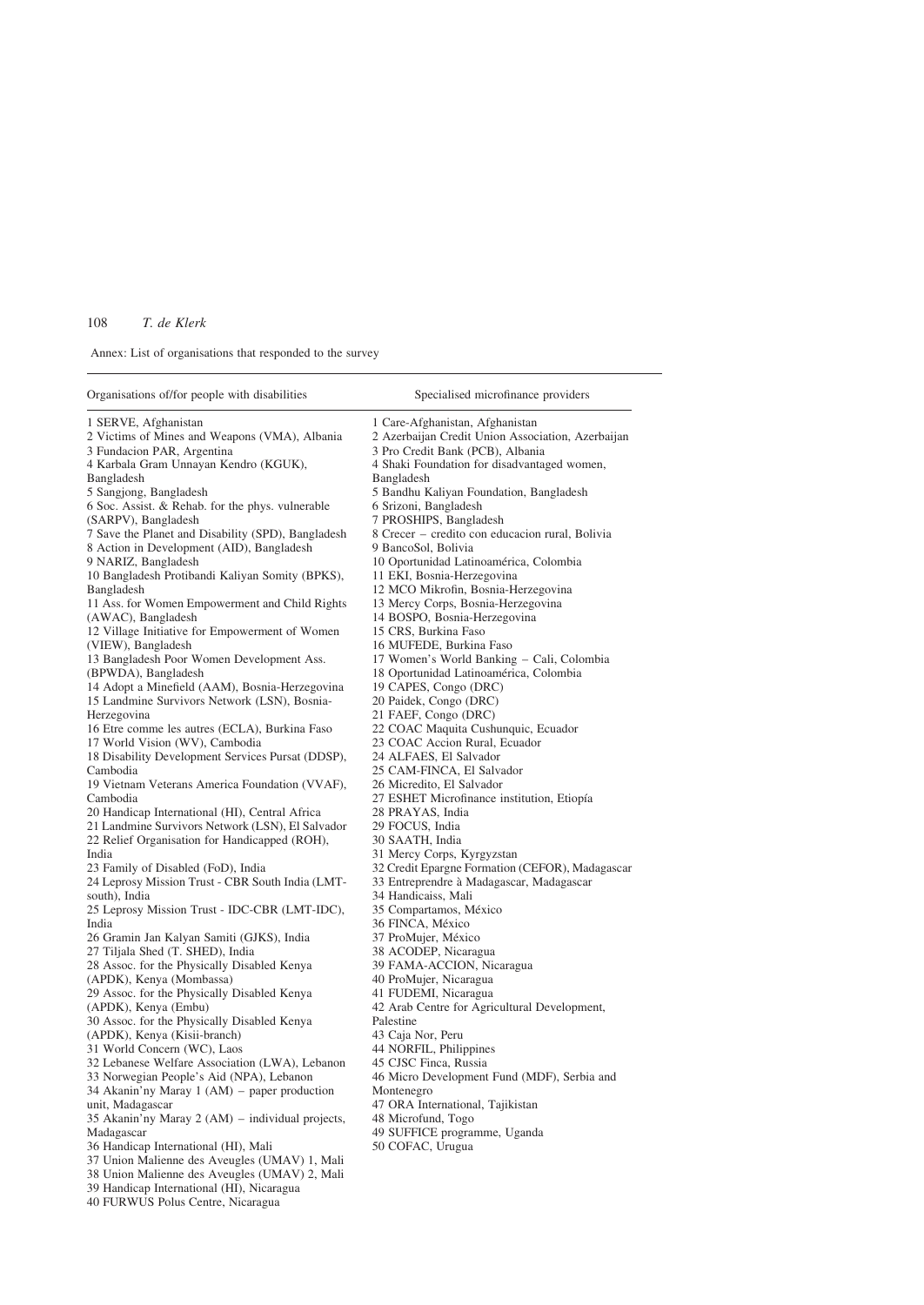Annex: List of organisations that responded to the survey

39 Handicap International (HI), Nicaragua 40 FURWUS Polus Centre, Nicaragua

| Organisations of/for people with disabilities                           | Specialised microfinance providers                        |
|-------------------------------------------------------------------------|-----------------------------------------------------------|
| 1 SERVE, Afghanistan                                                    | 1 Care-Afghanistan, Afghanistan                           |
| 2 Victims of Mines and Weapons (VMA), Albania                           | 2 Azerbaijan Credit Union Association, Azerbaijan         |
| 3 Fundacion PAR, Argentina                                              | 3 Pro Credit Bank (PCB), Albania                          |
| 4 Karbala Gram Unnayan Kendro (KGUK),                                   | 4 Shaki Foundation for disadvantaged women,               |
| Bangladesh                                                              | Bangladesh                                                |
| 5 Sangjong, Bangladesh                                                  | 5 Bandhu Kaliyan Foundation, Bangladesh                   |
| 6 Soc. Assist. & Rehab. for the phys. vulnerable                        | 6 Srizoni, Bangladesh                                     |
| (SARPV), Bangladesh                                                     | 7 PROSHIPS, Bangladesh                                    |
| 7 Save the Planet and Disability (SPD), Bangladesh                      | 8 Crecer – credito con educacion rural, Bolivia           |
| 8 Action in Development (AID), Bangladesh                               | 9 BancoSol, Bolivia                                       |
| 9 NARIZ, Bangladesh                                                     | 10 Oportunidad Latinoamérica, Colombia                    |
| 10 Bangladesh Protibandi Kaliyan Somity (BPKS),                         | 11 EKI, Bosnia-Herzegovina                                |
| Bangladesh                                                              | 12 MCO Mikrofin, Bosnia-Herzegovina                       |
| 11 Ass. for Women Empowerment and Child Rights                          | 13 Mercy Corps, Bosnia-Herzegovina                        |
| (AWAC), Bangladesh                                                      | 14 BOSPO, Bosnia-Herzegovina                              |
| 12 Village Initiative for Empowerment of Women                          | 15 CRS, Burkina Faso                                      |
| (VIEW), Bangladesh                                                      | 16 MUFEDE, Burkina Faso                                   |
| 13 Bangladesh Poor Women Development Ass.                               | 17 Women's World Banking – Cali, Colombia                 |
| (BPWDA), Bangladesh                                                     | 18 Oportunidad Latinoamérica, Colombia                    |
| 14 Adopt a Minefield (AAM), Bosnia-Herzegovina                          | 19 CAPES, Congo (DRC)                                     |
| 15 Landmine Survivors Network (LSN), Bosnia-                            | 20 Paidek, Congo (DRC)                                    |
| Herzegovina                                                             | 21 FAEF, Congo (DRC)                                      |
| 16 Etre comme les autres (ECLA), Burkina Faso                           | 22 COAC Maquita Cushunquic, Ecuador                       |
| 17 World Vision (WV), Cambodia                                          | 23 COAC Accion Rural, Ecuador                             |
| 18 Disability Development Services Pursat (DDSP),                       | 24 ALFAES, El Salvador                                    |
| Cambodia                                                                | 25 CAM-FINCA, El Salvador                                 |
| 19 Vietnam Veterans America Foundation (VVAF),                          | 26 Micredito, El Salvador                                 |
| Cambodia                                                                | 27 ESHET Microfinance institution, Etiopía                |
| 20 Handicap International (HI), Central Africa                          | 28 PRAYAS, India                                          |
| 21 Landmine Survivors Network (LSN), El Salvador                        | 29 FOCUS, India                                           |
| 22 Relief Organisation for Handicapped (ROH),                           | 30 SAATH, India                                           |
| India                                                                   | 31 Mercy Corps, Kyrgyzstan                                |
| 23 Family of Disabled (FoD), India                                      | 32 Credit Epargne Formation (CEFOR), Madagascar           |
| 24 Leprosy Mission Trust - CBR South India (LMT-                        | 33 Entreprendre à Madagascar, Madagascar                  |
| south), India                                                           | 34 Handicaiss, Mali                                       |
| 25 Leprosy Mission Trust - IDC-CBR (LMT-IDC),                           | 35 Compartamos, México                                    |
| India                                                                   | 36 FINCA, México                                          |
| 26 Gramin Jan Kalyan Samiti (GJKS), India                               | 37 ProMujer, México                                       |
| 27 Tiljala Shed (T. SHED), India                                        | 38 ACODEP, Nicaragua                                      |
| 28 Assoc. for the Physically Disabled Kenya<br>(APDK), Kenya (Mombassa) | 39 FAMA-ACCION, Nicaragua<br>40 ProMujer, Nicaragua       |
|                                                                         |                                                           |
| 29 Assoc. for the Physically Disabled Kenya                             | 41 FUDEMI, Nicaragua                                      |
| (APDK), Kenya (Embu)<br>30 Assoc. for the Physically Disabled Kenya     | 42 Arab Centre for Agricultural Development,<br>Palestine |
| (APDK), Kenya (Kisii-branch)                                            | 43 Caja Nor, Peru                                         |
| 31 World Concern (WC), Laos                                             | 44 NORFIL, Philippines                                    |
| 32 Lebanese Welfare Association (LWA), Lebanon                          | 45 CJSC Finca, Russia                                     |
| 33 Norwegian People's Aid (NPA), Lebanon                                | 46 Micro Development Fund (MDF), Serbia and               |
| 34 Akanin'ny Maray 1 (AM) – paper production                            | Montenegro                                                |
| unit, Madagascar                                                        | 47 ORA International, Tajikistan                          |
| 35 Akanin'ny Maray 2 (AM) – individual projects,                        | 48 Microfund, Togo                                        |
| Madagascar                                                              | 49 SUFFICE programme, Uganda                              |
| 36 Handicap International (HI), Mali                                    | 50 COFAC, Urugua                                          |
| 37 Union Malienne des Aveugles (UMAV) 1, Mali                           |                                                           |
| 38 Union Malienne des Aveugles (UMAV) 2, Mali                           |                                                           |